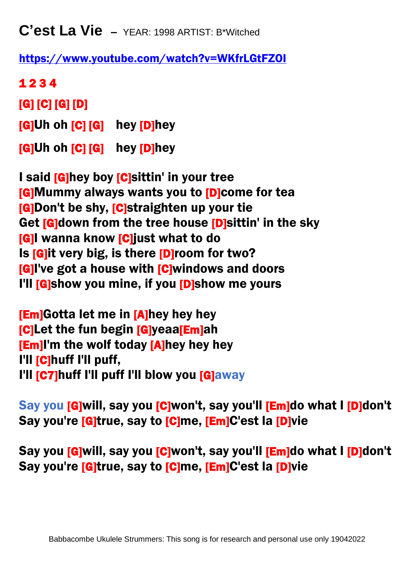**C'est La Vie –** YEAR: 1998 ARTIST: B\*Witched

<https://www.youtube.com/watch?v=WKfrLGtFZOI>

1 2 3 4 [G] [C] [G] [D] Ì [G]Uh oh [C] [G] hey [D]hey [G]Uh oh [C] [G] hey [D]hey

I said [G]hey boy [C]sittin' in your tree [G]Mummy always wants you to [D]come for tea **[G]Don't be shy, [C]straighten up your tie** Get **[G]down from the tree house [D]sittin' in the sky** [G]I wanna know [C]just what to do Is [G]it very big, is there [D]room for two? **[G]I've got a house with [C]windows and doors** I'll **[G]**show you mine, if you **[D]**show me yours

[Em]Gotta let me in [A]hey hey hey [C]Let the fun begin [G]yeaa[Em]ah [Em]I'm the wolf today [A]hey hey hey I'll [C]huff I'll puff, I'll [C7]huff I'll puff I'll blow you [G]away

Say you [G]will, say you [C]won't, say you'll [Em]do what I [D]don't Say you're [G]true, say to [C]me, [Em]C'est la [D]vie

Say you [G]will, say you [C]won't, say you'll [Em]do what I [D]don't Say you're [G]true, say to [C]me, [Em]C'est la [D]vie